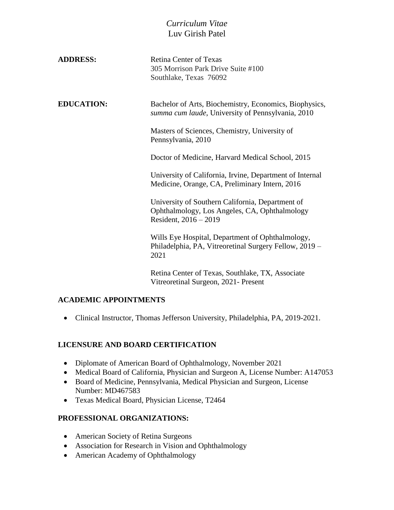# *Curriculum Vitae* Luv Girish Patel

| <b>ADDRESS:</b>   | <b>Retina Center of Texas</b><br>305 Morrison Park Drive Suite #100<br>Southlake, Texas 76092                                |
|-------------------|------------------------------------------------------------------------------------------------------------------------------|
| <b>EDUCATION:</b> | Bachelor of Arts, Biochemistry, Economics, Biophysics,<br>summa cum laude, University of Pennsylvania, 2010                  |
|                   | Masters of Sciences, Chemistry, University of<br>Pennsylvania, 2010                                                          |
|                   | Doctor of Medicine, Harvard Medical School, 2015                                                                             |
|                   | University of California, Irvine, Department of Internal<br>Medicine, Orange, CA, Preliminary Intern, 2016                   |
|                   | University of Southern California, Department of<br>Ophthalmology, Los Angeles, CA, Ophthalmology<br>Resident, $2016 - 2019$ |
|                   | Wills Eye Hospital, Department of Ophthalmology,<br>Philadelphia, PA, Vitreoretinal Surgery Fellow, 2019 -<br>2021           |
|                   | Retina Center of Texas, Southlake, TX, Associate<br>Vitreoretinal Surgeon, 2021 - Present                                    |

## **ACADEMIC APPOINTMENTS**

Clinical Instructor, Thomas Jefferson University, Philadelphia, PA, 2019-2021.

#### **LICENSURE AND BOARD CERTIFICATION**

- Diplomate of American Board of Ophthalmology, November 2021
- Medical Board of California, Physician and Surgeon A, License Number: A147053
- Board of Medicine, Pennsylvania, Medical Physician and Surgeon, License Number: MD467583
- Texas Medical Board, Physician License, T2464

#### **PROFESSIONAL ORGANIZATIONS:**

- American Society of Retina Surgeons
- Association for Research in Vision and Ophthalmology
- American Academy of Ophthalmology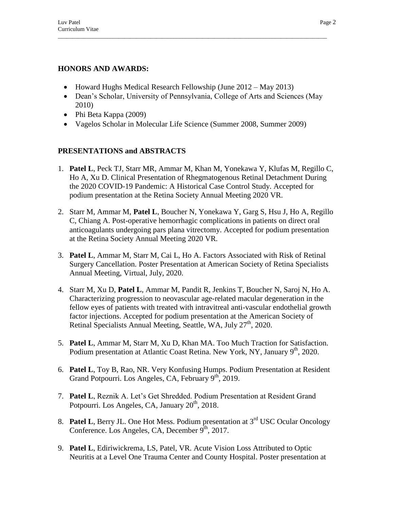### **HONORS AND AWARDS:**

- Howard Hughs Medical Research Fellowship (June 2012 May 2013)
- Dean's Scholar, University of Pennsylvania, College of Arts and Sciences (May 2010)

 $\Box$ 

- Phi Beta Kappa (2009)
- Vagelos Scholar in Molecular Life Science (Summer 2008, Summer 2009)

## **PRESENTATIONS and ABSTRACTS**

- 1. **Patel L**, Peck TJ, Starr MR, Ammar M, Khan M, Yonekawa Y, Klufas M, Regillo C, Ho A, Xu D. Clinical Presentation of Rhegmatogenous Retinal Detachment During the 2020 COVID-19 Pandemic: A Historical Case Control Study. Accepted for podium presentation at the Retina Society Annual Meeting 2020 VR.
- 2. Starr M, Ammar M, **Patel L**, Boucher N, Yonekawa Y, Garg S, Hsu J, Ho A, Regillo C, Chiang A. Post-operative hemorrhagic complications in patients on direct oral anticoagulants undergoing pars plana vitrectomy. Accepted for podium presentation at the Retina Society Annual Meeting 2020 VR.
- 3. **Patel L**, Ammar M, Starr M, Cai L, Ho A. Factors Associated with Risk of Retinal Surgery Cancellation. Poster Presentation at American Society of Retina Specialists Annual Meeting, Virtual, July, 2020.
- 4. Starr M, Xu D, **Patel L**, Ammar M, Pandit R, Jenkins T, Boucher N, Saroj N, Ho A. Characterizing progression to neovascular age-related macular degeneration in the fellow eyes of patients with treated with intravitreal anti-vascular endothelial growth factor injections. Accepted for podium presentation at the American Society of Retinal Specialists Annual Meeting, Seattle, WA, July 27<sup>th</sup>, 2020.
- 5. **Patel L**, Ammar M, Starr M, Xu D, Khan MA. Too Much Traction for Satisfaction. Podium presentation at Atlantic Coast Retina. New York, NY, January 9<sup>th</sup>, 2020.
- 6. **Patel L**, Toy B, Rao, NR. Very Konfusing Humps. Podium Presentation at Resident Grand Potpourri. Los Angeles, CA, February  $9<sup>th</sup>$ , 2019.
- 7. **Patel L**, Reznik A. Let's Get Shredded. Podium Presentation at Resident Grand Potpourri. Los Angeles, CA, January  $20<sup>th</sup>$ , 2018.
- 8. **Patel L**, Berry JL. One Hot Mess. Podium presentation at 3<sup>rd</sup> USC Ocular Oncology Conference. Los Angeles, CA, December  $9^{\text{th}}$ , 2017.
- 9. **Patel L**, Ediriwickrema, LS, Patel, VR. Acute Vision Loss Attributed to Optic Neuritis at a Level One Trauma Center and County Hospital. Poster presentation at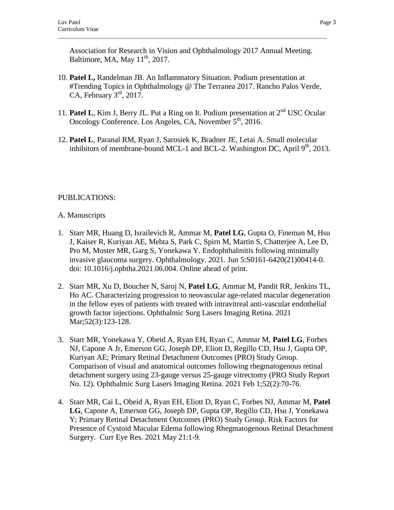Association for Research in Vision and Ophthalmology 2017 Annual Meeting. Baltimore, MA, May  $11<sup>th</sup>$ , 2017.

 $\Box$ 

- 10. **Patel L,** Randelman JB. An Inflammatory Situation. Podium presentation at #Trending Topics in Ophthalmology @ The Terranea 2017. Rancho Palos Verde, CA, February  $3<sup>rd</sup>$ , 2017.
- 11. Patel L, Kim J, Berry JL. Put a Ring on It. Podium presentation at 2<sup>nd</sup> USC Ocular Oncology Conference. Los Angeles, CA, November 5<sup>th</sup>, 2016.
- 12. **Patel L**, Paranal RM, Ryan J, Sarosiek K, Bradner JE, Letai A. Small molecular inhibitors of membrane-bound MCL-1 and BCL-2. Washington DC, April  $9<sup>th</sup>$ , 2013.

# PUBLICATIONS:

### A. Manuscripts

- 1. Starr MR, Huang D, Israilevich R, Ammar M, **Patel LG**, Gupta O, Fineman M, Hsu J, Kaiser R, Kuriyan AE, Mehta S, Park C, Spirn M, Martin S, Chatterjee A, Lee D, Pro M, Moster MR, Garg S, Yonekawa Y. Endophthalmitis following minimally invasive glaucoma surgery. Ophthalmology. 2021. Jun 5:S0161-6420(21)00414-0. doi: 10.1016/j.ophtha.2021.06.004. Online ahead of print.
- 2. Starr MR, Xu D, Boucher N, Saroj N, **Patel LG**, Ammar M, Pandit RR, Jenkins TL, Ho AC. Characterizing progression to neovascular age-related macular degeneration in the fellow eyes of patients with treated with intravitreal anti-vascular endothelial growth factor injections. Ophthalmic Surg Lasers Imaging Retina. 2021 Mar;52(3):123-128.
- 3. Starr MR, Yonekawa Y, Obeid A, Ryan EH, Ryan C, Ammar M, **Patel LG**, Forbes NJ, Capone A Jr, Emerson GG, Joseph DP, Eliott D, Regillo CD, Hsu J, Gupta OP, Kuriyan AE; Primary Retinal Detachment Outcomes (PRO) Study Group. Comparison of visual and anatomical outcomes following rhegmatogenous retinal detachment surgery using 23-gauge versus 25-gauge vitrectomy (PRO Study Report No. 12). Ophthalmic Surg Lasers Imaging Retina. 2021 Feb 1;52(2):70-76.
- 4. Starr MR, Cai L, Obeid A, Ryan EH, Eliott D, Ryan C, Forbes NJ, Ammar M, **Patel LG**, Capone A, Emerson GG, Joseph DP, Gupta OP, Regillo CD, Hsu J, Yonekawa Y; Primary Retinal Detachment Outcomes (PRO) Study Group. Risk Factors for Presence of Cystoid Macular Edema following Rhegmatogenous Retinal Detachment Surgery. Curr Eye Res. 2021 May 21:1-9.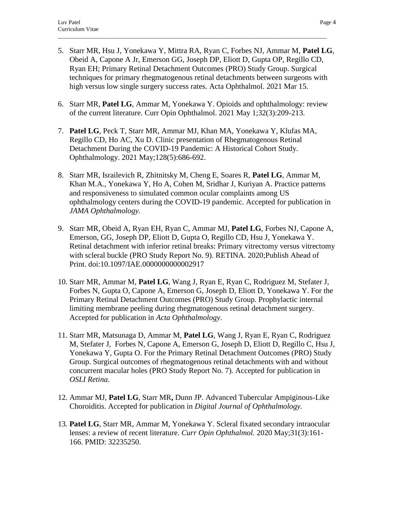5. Starr MR, Hsu J, Yonekawa Y, Mittra RA, Ryan C, Forbes NJ, Ammar M, **Patel LG**, Obeid A, Capone A Jr, Emerson GG, Joseph DP, Eliott D, Gupta OP, Regillo CD, Ryan EH; Primary Retinal Detachment Outcomes (PRO) Study Group. Surgical techniques for primary rhegmatogenous retinal detachments between surgeons with high versus low single surgery success rates. Acta Ophthalmol. 2021 Mar 15.

 $\Box$ 

- 6. Starr MR, **Patel LG**, Ammar M, Yonekawa Y. Opioids and ophthalmology: review of the current literature. Curr Opin Ophthalmol. 2021 May 1;32(3):209-213.
- 7. **Patel LG**, Peck T, Starr MR, Ammar MJ, Khan MA, Yonekawa Y, Klufas MA, Regillo CD, Ho AC, Xu D. Clinic presentation of Rhegmatogenous Retinal Detachment During the COVID-19 Pandemic: A Historical Cohort Study. Ophthalmology. 2021 May;128(5):686-692.
- 8. Starr MR, Israilevich R, Zhitnitsky M, Cheng E, Soares R, **Patel LG**, Ammar M, Khan M.A., Yonekawa Y, Ho A, Cohen M, Sridhar J, Kuriyan A. Practice patterns and responsiveness to simulated common ocular complaints among US ophthalmology centers during the COVID-19 pandemic. Accepted for publication in *JAMA Ophthalmology.*
- 9. Starr MR, Obeid A, Ryan EH, Ryan C, Ammar MJ, **Patel LG**, Forbes NJ, Capone A, Emerson, GG, Joseph DP, Eliott D, Gupta O, Regillo CD, Hsu J, Yonekawa Y. Retinal detachment with inferior retinal breaks: Primary vitrectomy versus vitrectomy with scleral buckle (PRO Study Report No. 9). RETINA. 2020;Publish Ahead of Print. doi:10.1097/IAE.0000000000002917
- 10. Starr MR, Ammar M, **Patel LG**, Wang J, Ryan E, Ryan C, Rodriguez M, Stefater J, Forbes N, Gupta O, Capone A, Emerson G, Joseph D, Eliott D, Yonekawa Y. For the Primary Retinal Detachment Outcomes (PRO) Study Group. Prophylactic internal limiting membrane peeling during rhegmatogenous retinal detachment surgery. Accepted for publication in *Acta Ophthalmology*.
- 11. Starr MR, Matsunaga D, Ammar M, **Patel LG**, Wang J, Ryan E, Ryan C, Rodriguez M, Stefater J, Forbes N, Capone A, Emerson G, Joseph D, Eliott D, Regillo C, Hsu J, Yonekawa Y, Gupta O. For the Primary Retinal Detachment Outcomes (PRO) Study Group. Surgical outcomes of rhegmatogenous retinal detachments with and without concurrent macular holes (PRO Study Report No. 7). Accepted for publication in *OSLI Retina*.
- 12. Ammar MJ, **Patel LG**, Starr MR**,** Dunn JP. Advanced Tubercular Ampiginous-Like Choroiditis. Accepted for publication in *Digital Journal of Ophthalmology.*
- 13. **Patel LG**, Starr MR, Ammar M, Yonekawa Y. Scleral fixated secondary intraocular lenses: a review of recent literature. *Curr Opin Ophthalmol*. 2020 May;31(3):161- 166. PMID: 32235250.